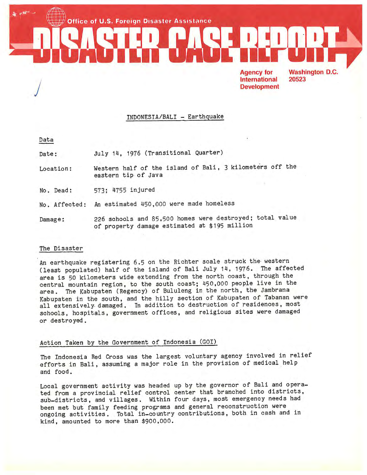**Office of U.S. Foreign Disaster Assistance** 

**Agency for International Development**  **Washington D.C.** 20523

## INDONESIA/BALI - Earthquake

Data

J

Date: July 14, 1976 (Transitional Quarter)

Location: Western half of the island of Bali, 3 kilometers off the eastern tip of Java

No. Dead: 573; 4755 injured

No. Affected: An estimated 450,000 were made homeless

Damage: 226 schools and 85,500 homes were destroyed; total value of property damage estimated at \$195 million

#### The Disaster

An earthquake registering 6.5 on the Richter scale struck the western (least populated) half of the island of Bali July 14, 1976. The affected area is 50 kilometers wide extending from the north coast, through the central mountain region, to the south coast; 450,000 people live in the area. The Kabupaten (Regency) of Bululeng in the north, the Jambrana Kabupaten in the south, and the hilly section of Kabupaten of Tabanan were all extensively. damaged. In addition to destruction of residences, most schools, hospitals, government offices, and religious sites were damaged or destroyed.

### Action Taken by the Government of Indonesia (GOI)

The Indonesia Red Cross was the largest voluntary agency involved in relief efforts in Bali, assuming a major role in the provision of medical help and food.

Local government activity was headed up by the governor of Bali and operated from a provincial relief control center that branched into districts, sub-districts, and villages. Within four days, most emergency needs had been met but family feeding programs and general reconstruction were ongoing activities. Total in-country contributions, both in cash and in kind, amounted to more than \$900,000.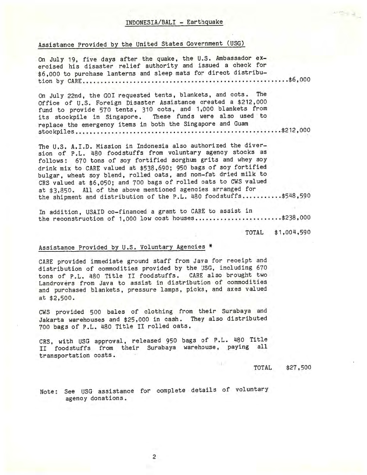#### INDONESIA/BALI - Earthquake

# Assistance Provided by the United States Government (USG}

On July 19, five days after the quake, the U.S. Ambassador exercised his disaster relief authority and issued a check for \$6,000 to purchase lanterns and sleep mats for direct distribu**tion by CARE •.** •.•••..•...•....•.•.••..•••.•••••••..••••••••••.• . •..•. **\$6, <sup>000</sup>**

On July 22nd, the GOI requested tents, blankets, and cots. The Office of U.S. Foreign Disaster Assistance created a \$212,000 fund to provide 570 tents, 310 cots, and 1,000 blankets from its stockpile in Singapore. These funds were also used to replace the emergency items in both the Singapore and Guam **stockpiles ......... . ......... ... ................ .... ............... \$212,000** 

The U.S. A.I.D. Mission in Indonesia also authorized the diversion of P.L. 480 foodstuffs from voluntary agency stocks as follows: 670 tons of soy fortified sorghun grits and whey soy drink mix to CARE valued at \$538,690; 950 bags of soy fortified bulgar, wheat soy blend, rolled oats, and non-fat dried milk to CRS valued at \$6,050; and 700 bags of rolled oats to CWS valued at \$3,850. All of the above mentioned agencies arranged for the shipment and distribution of the P.L. 480 foodstuffs...........\$548,590

In addition, USAID co-financed a grant to CARE to assist in the reconstruction of  $1,000$  low cost houses.......................\$238,000

> TOTAL \$1,004,590

 $\label{eq:2.1} \begin{array}{c} \left\Vert \mathcal{L} \right\Vert_{\mathcal{H}}^{2} = \left\Vert \mathcal{L} \right\Vert_{\mathcal{H}} \\ \left\Vert \mathcal{L} \right\Vert_{\mathcal{H}}^{2} = \left\Vert \mathcal{L} \right\Vert_{\mathcal{H}} \end{array}$ 

## Assistance Provided by U.S. Voluntary Agencies \*

CARE provided immediate ground staff from Java for receipt and distribution of commodities provided by the USG, including <sup>670</sup> tons of P.L. 480 Title II foodstuffs. CARE also brought two Landrovers from Java to assist in distribution of commodities and purchased blankets, pressure lamps, picks, and axes valued at \$2,500.

CWS provided 500 bales of clothing from their Surabaya and Jakarta warehouses and \$25 , 000 in cash. They also distributed <sup>700</sup>bags of P.L. 480 Title II rolled oats.

CRS, with USG approval, released 950 bags of P.L. 480 Title II foodstuffs from their Surabaya warehouse, paying all transportation costs.

> TOTAL \$27,500

Note: See USG assistance for complete details of voluntary agency donations.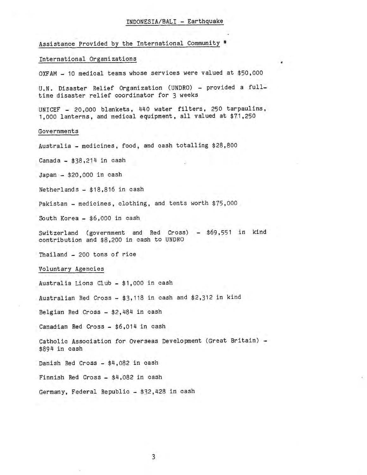#### INDONESIA/BALI - Earthquake

Assistance Provided by the International Community \*

## International Organizations

OXFAM - 10 medical teams whose services were valued at \$50,000

U.N. Disaster Relief Organization (UNDRO) - provided a fulltime disaster relief coordinator for 3 weeks

UNICEF - 20,000 blankets, 440 water filters, 250 tarpaulins, 1,000 lanterns. and medical equipment, all valued at \$71,250

#### Governments

Australia - medicines, food, and cash totalling \$28,800

Canada  $-$  \$38,214 in cash

Japan - \$20 ,000 in cash

Netherlands - \$18,816 in cash

Pakistan - medicines, clothing, and tents worth \$75,000

South Korea - \$6,000 in cash

Switzerland (government and Red Cross) - \$69,551 in kind contribution and \$8,200 in cash to UNDRO

Thailand - 200 tons of rice

#### Voluntary Agencies

Australia Lions Club - \$1,000 in cash

Australian Red Cross  $-$  \$3,118 in cash and \$2,312 in kind

Belgian Red Cross - \$2,484 in cash

Canadian Red Cross - \$6,014 in cash

Catholic Association for Overseas Development (Great Britain) - \$894 in cash

Danish Red Cross - \$4,082 in cash

Finnish Red Cross - \$4,082 in cash

Germany, Federal Republic - \$32,428 in cash